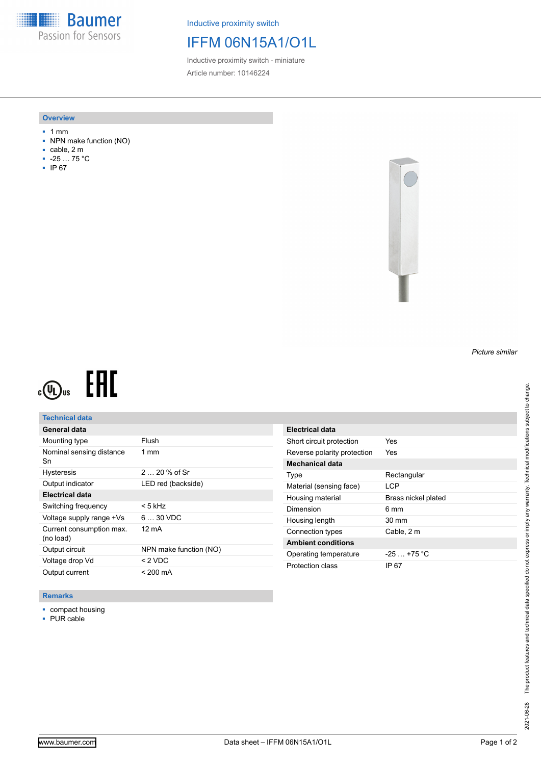**Baumer** Passion for Sensors

Inductive proximity switch

# IFFM 06N15A1/O1L

Inductive proximity switch - miniature Article number: 10146224

#### **Overview**

- 1 mm
- NPN make function (NO)
- cable, 2 m
- -25 … 75 °C
- IP 67



# EAC  $c(\mathbf{U})$ us

### **Technical data**

| General data                          |                        |
|---------------------------------------|------------------------|
| Mounting type                         | Flush                  |
| Nominal sensing distance<br>Sn        | $1 \text{ mm}$         |
| <b>Hysteresis</b>                     | $220%$ of Sr           |
| Output indicator                      | LED red (backside)     |
| Electrical data                       |                        |
| Switching frequency                   | < 5 kHz                |
| Voltage supply range +Vs              | $630$ VDC              |
| Current consumption max.<br>(no load) | 12 mA                  |
| Output circuit                        | NPN make function (NO) |
| Voltage drop Vd                       | $< 2$ VDC              |
| Output current                        | $< 200 \text{ mA}$     |

| Electrical data             |                     |
|-----------------------------|---------------------|
| Short circuit protection    | Yes                 |
| Reverse polarity protection | Yes                 |
| <b>Mechanical data</b>      |                     |
| Type                        | Rectangular         |
| Material (sensing face)     | I CP                |
| Housing material            | Brass nickel plated |
|                             |                     |
| Dimension                   | 6 mm                |
| Housing length              | $30 \text{ mm}$     |
| Connection types            | Cable, 2 m          |
| <b>Ambient conditions</b>   |                     |
| Operating temperature       | $-25 + 75$ °C       |

### **Remarks**

- compact housing
- PUR cable

*Picture similar*